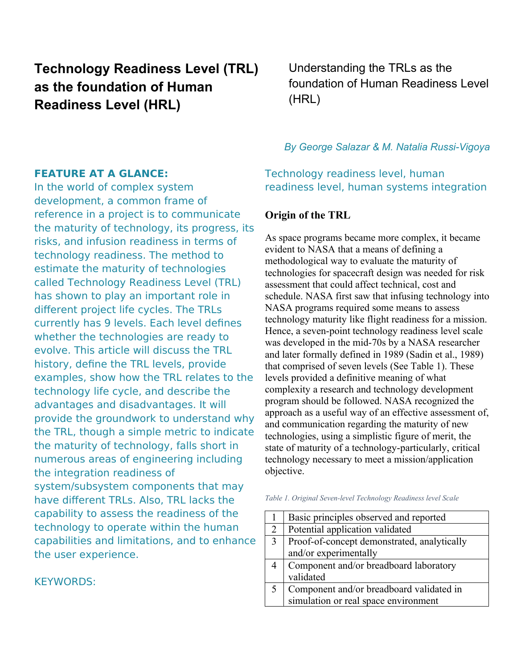# **Technology Readiness Level (TRL) as the foundation of Human Readiness Level (HRL)**

## **FEATURE AT A GLANCE:**

In the world of complex system development, a common frame of reference in a project is to communicate the maturity of technology, its progress, its risks, and infusion readiness in terms of technology readiness. The method to estimate the maturity of technologies called Technology Readiness Level (TRL) has shown to play an important role in different project life cycles. The TRLs currently has 9 levels. Each level defines whether the technologies are ready to evolve. This article will discuss the TRL history, define the TRL levels, provide examples, show how the TRL relates to the technology life cycle, and describe the advantages and disadvantages. It will provide the groundwork to understand why the TRL, though a simple metric to indicate the maturity of technology, falls short in numerous areas of engineering including the integration readiness of system/subsystem components that may have different TRLs. Also, TRL lacks the capability to assess the readiness of the technology to operate within the human capabilities and limitations, and to enhance the user experience.

KEYWORDS:

Understanding the TRLs as the foundation of Human Readiness Level (HRL)

## *By George Salazar & M. Natalia Russi-Vigoya*

Technology readiness level, human readiness level, human systems integration

# **Origin of the TRL**

As space programs became more complex, it became evident to NASA that a means of defining a methodological way to evaluate the maturity of technologies for spacecraft design was needed for risk assessment that could affect technical, cost and schedule. NASA first saw that infusing technology into NASA programs required some means to assess technology maturity like flight readiness for a mission. Hence, a seven-point technology readiness level scale was developed in the mid-70s by a NASA researcher and later formally defined in 1989 (Sadin et al., 1989) that comprised of seven levels (See Table 1). These levels provided a definitive meaning of what complexity a research and technology development program should be followed. NASA recognized the approach as a useful way of an effective assessment of, and communication regarding the maturity of new technologies, using a simplistic figure of merit, the state of maturity of a technology-particularly, critical technology necessary to meet a mission/application objective.

| Table 1. Original Seven-level Technology Readiness level Scale |  |  |  |  |  |
|----------------------------------------------------------------|--|--|--|--|--|
|----------------------------------------------------------------|--|--|--|--|--|

|   | Basic principles observed and reported      |
|---|---------------------------------------------|
| 2 | Potential application validated             |
|   | Proof-of-concept demonstrated, analytically |
|   | and/or experimentally                       |
|   | Component and/or breadboard laboratory      |
|   | validated                                   |
|   | Component and/or breadboard validated in    |
|   | simulation or real space environment        |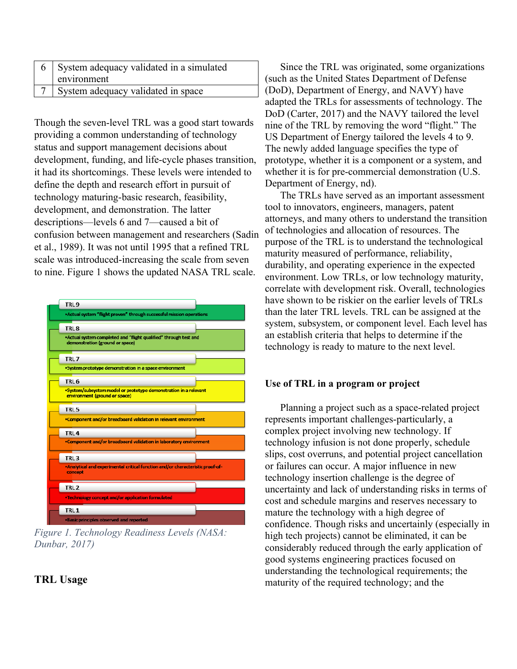| System adequacy validated in a simulated<br>environment |
|---------------------------------------------------------|
| System adequacy validated in space                      |

Though the seven-level TRL was a good start towards providing a common understanding of technology status and support management decisions about development, funding, and life-cycle phases transition, it had its shortcomings. These levels were intended to define the depth and research effort in pursuit of technology maturing-basic research, feasibility, development, and demonstration. The latter descriptions—levels 6 and 7—caused a bit of confusion between management and researchers (Sadin et al., 1989). It was not until 1995 that a refined TRL scale was introduced-increasing the scale from seven to nine. Figure 1 shows the updated NASA TRL scale.



*Figure 1. Technology Readiness Levels (NASA: Dunbar, 2017)*

## **TRL Usage**

Since the TRL was originated, some organizations (such as the United States Department of Defense (DoD), Department of Energy, and NAVY) have adapted the TRLs for assessments of technology. The DoD (Carter, 2017) and the NAVY tailored the level nine of the TRL by removing the word "flight." The US Department of Energy tailored the levels 4 to 9. The newly added language specifies the type of prototype, whether it is a component or a system, and whether it is for pre-commercial demonstration (U.S. Department of Energy, nd).

The TRLs have served as an important assessment tool to innovators, engineers, managers, patent attorneys, and many others to understand the transition of technologies and allocation of resources. The purpose of the TRL is to understand the technological maturity measured of performance, reliability, durability, and operating experience in the expected environment. Low TRLs, or low technology maturity, correlate with development risk. Overall, technologies have shown to be riskier on the earlier levels of TRLs than the later TRL levels. TRL can be assigned at the system, subsystem, or component level. Each level has an establish criteria that helps to determine if the technology is ready to mature to the next level.

#### **Use of TRL in a program or project**

Planning a project such as a space-related project represents important challenges-particularly, a complex project involving new technology. If technology infusion is not done properly, schedule slips, cost overruns, and potential project cancellation or failures can occur. A major influence in new technology insertion challenge is the degree of uncertainty and lack of understanding risks in terms of cost and schedule margins and reserves necessary to mature the technology with a high degree of confidence. Though risks and uncertainly (especially in high tech projects) cannot be eliminated, it can be considerably reduced through the early application of good systems engineering practices focused on understanding the technological requirements; the maturity of the required technology; and the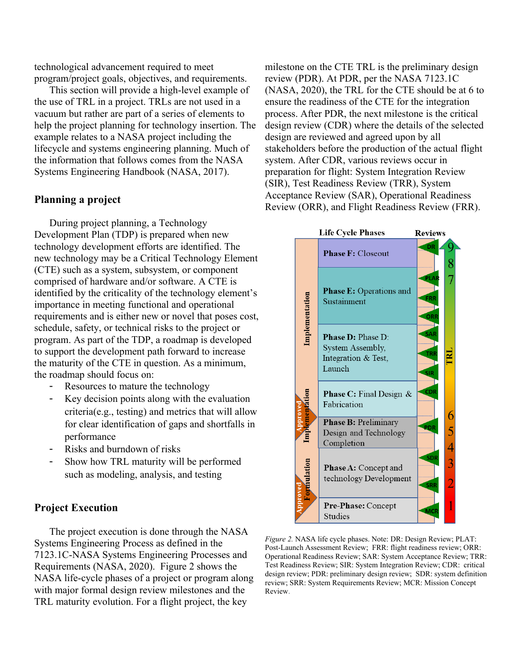technological advancement required to meet program/project goals, objectives, and requirements.

This section will provide a high-level example of the use of TRL in a project. TRLs are not used in a vacuum but rather are part of a series of elements to help the project planning for technology insertion. The example relates to a NASA project including the lifecycle and systems engineering planning. Much of the information that follows comes from the NASA Systems Engineering Handbook (NASA, 2017).

## **Planning a project**

During project planning, a Technology Development Plan (TDP) is prepared when new technology development efforts are identified. The new technology may be a Critical Technology Element (CTE) such as a system, subsystem, or component comprised of hardware and/or software. A CTE is identified by the criticality of the technology element's importance in meeting functional and operational requirements and is either new or novel that poses cost, schedule, safety, or technical risks to the project or program. As part of the TDP, a roadmap is developed to support the development path forward to increase the maturity of the CTE in question. As a minimum, the roadmap should focus on:

- Resources to mature the technology
- Key decision points along with the evaluation criteria(e.g., testing) and metrics that will allow for clear identification of gaps and shortfalls in performance
- Risks and burndown of risks
- Show how TRL maturity will be performed such as modeling, analysis, and testing

#### **Project Execution**

The project execution is done through the NASA Systems Engineering Process as defined in the 7123.1C-NASA Systems Engineering Processes and Requirements (NASA, 2020). Figure 2 shows the NASA life-cycle phases of a project or program along with major formal design review milestones and the TRL maturity evolution. For a flight project, the key

milestone on the CTE TRL is the preliminary design review (PDR). At PDR, per the NASA 7123.1C (NASA, 2020), the TRL for the CTE should be at 6 to ensure the readiness of the CTE for the integration process. After PDR, the next milestone is the critical design review (CDR) where the details of the selected design are reviewed and agreed upon by all stakeholders before the production of the actual flight system. After CDR, various reviews occur in preparation for flight: System Integration Review (SIR), Test Readiness Review (TRR), System Acceptance Review (SAR), Operational Readiness Review (ORR), and Flight Readiness Review (FRR).



*Figure 2.* NASA life cycle phases. Note: DR: Design Review; PLAT: Post-Launch Assessment Review; FRR: flight readiness review; ORR: Operational Readiness Review; SAR: System Acceptance Review; TRR: Test Readiness Review; SIR: System Integration Review; CDR: critical design review; PDR: preliminary design review; SDR: system definition review; SRR: System Requirements Review; MCR: Mission Concept Review.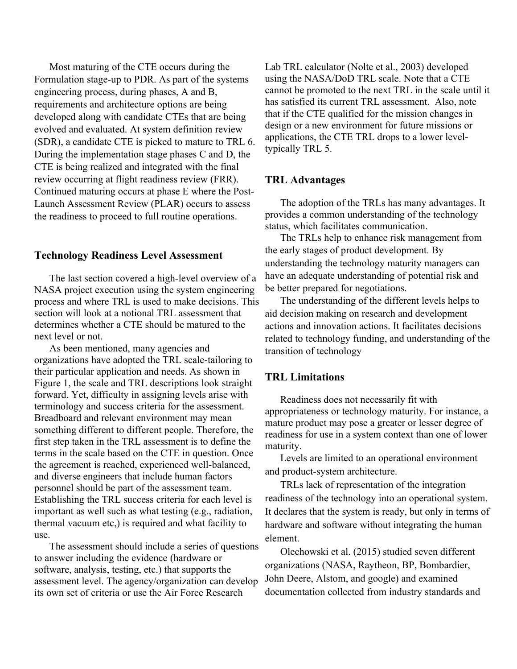Most maturing of the CTE occurs during the Formulation stage-up to PDR. As part of the systems engineering process, during phases, A and B, requirements and architecture options are being developed along with candidate CTEs that are being evolved and evaluated. At system definition review (SDR), a candidate CTE is picked to mature to TRL 6. During the implementation stage phases C and D, the CTE is being realized and integrated with the final review occurring at flight readiness review (FRR). Continued maturing occurs at phase E where the Post-Launch Assessment Review (PLAR) occurs to assess the readiness to proceed to full routine operations.

#### **Technology Readiness Level Assessment**

The last section covered a high-level overview of a NASA project execution using the system engineering process and where TRL is used to make decisions. This section will look at a notional TRL assessment that determines whether a CTE should be matured to the next level or not.

As been mentioned, many agencies and organizations have adopted the TRL scale-tailoring to their particular application and needs. As shown in Figure 1, the scale and TRL descriptions look straight forward. Yet, difficulty in assigning levels arise with terminology and success criteria for the assessment. Breadboard and relevant environment may mean something different to different people. Therefore, the first step taken in the TRL assessment is to define the terms in the scale based on the CTE in question. Once the agreement is reached, experienced well-balanced, and diverse engineers that include human factors personnel should be part of the assessment team. Establishing the TRL success criteria for each level is important as well such as what testing (e.g., radiation, thermal vacuum etc,) is required and what facility to use.

The assessment should include a series of questions to answer including the evidence (hardware or software, analysis, testing, etc.) that supports the assessment level. The agency/organization can develop its own set of criteria or use the Air Force Research

Lab TRL calculator (Nolte et al., 2003) developed using the NASA/DoD TRL scale. Note that a CTE cannot be promoted to the next TRL in the scale until it has satisfied its current TRL assessment. Also, note that if the CTE qualified for the mission changes in design or a new environment for future missions or applications, the CTE TRL drops to a lower leveltypically TRL 5.

### **TRL Advantages**

The adoption of the TRLs has many advantages. It provides a common understanding of the technology status, which facilitates communication.

The TRLs help to enhance risk management from the early stages of product development. By understanding the technology maturity managers can have an adequate understanding of potential risk and be better prepared for negotiations.

The understanding of the different levels helps to aid decision making on research and development actions and innovation actions. It facilitates decisions related to technology funding, and understanding of the transition of technology

## **TRL Limitations**

Readiness does not necessarily fit with appropriateness or technology maturity. For instance, a mature product may pose a greater or lesser degree of readiness for use in a system context than one of lower maturity.

Levels are limited to an operational environment and product-system architecture.

TRLs lack of representation of the integration readiness of the technology into an operational system. It declares that the system is ready, but only in terms of hardware and software without integrating the human element.

Olechowski et al. (2015) studied seven different organizations (NASA, Raytheon, BP, Bombardier, John Deere, Alstom, and google) and examined documentation collected from industry standards and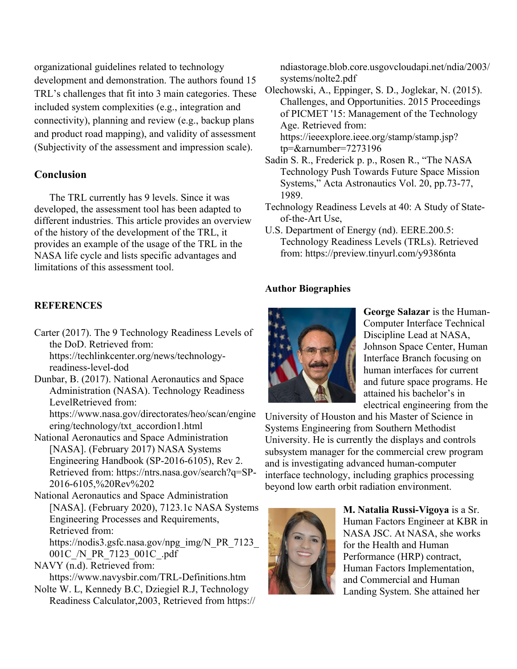organizational guidelines related to technology development and demonstration. The authors found 15 TRL's challenges that fit into 3 main categories. These included system complexities (e.g., integration and connectivity), planning and review (e.g., backup plans and product road mapping), and validity of assessment (Subjectivity of the assessment and impression scale).

## **Conclusion**

The TRL currently has 9 levels. Since it was developed, the assessment tool has been adapted to different industries. This article provides an overview of the history of the development of the TRL, it provides an example of the usage of the TRL in the NASA life cycle and lists specific advantages and limitations of this assessment tool.

#### **REFERENCES**

Carter (2017). The 9 Technology Readiness Levels of the DoD. Retrieved from: https://techlinkcenter.org/news/technologyreadiness-level-dod

Dunbar, B. (2017). National Aeronautics and Space Administration (NASA). Technology Readiness LevelRetrieved from: https://www.nasa.gov/directorates/heo/scan/engine ering/technology/txt\_accordion1.html

National Aeronautics and Space Administration [NASA]. (February 2017) NASA Systems Engineering Handbook (SP-2016-6105), Rev 2. Retrieved from: https://ntrs.nasa.gov/search?q=SP-2016-6105,%20Rev%202

National Aeronautics and Space Administration [NASA]. (February 2020), 7123.1c NASA Systems Engineering Processes and Requirements, Retrieved from: https://nodis3.gsfc.nasa.gov/npg\_img/N\_PR\_7123\_ 001C\_/N\_PR\_7123\_001C\_.pdf

NAVY (n.d). Retrieved from:

https://www.navysbir.com/TRL-Definitions.htm

Nolte W. L, Kennedy B.C, Dziegiel R.J, Technology Readiness Calculator,2003, Retrieved from https:// ndiastorage.blob.core.usgovcloudapi.net/ndia/2003/ systems/nolte2.pdf

Olechowski, A., Eppinger, S. D., Joglekar, N. (2015). Challenges, and Opportunities. 2015 Proceedings of PICMET '15: Management of the Technology Age. Retrieved from: https://ieeexplore.ieee.org/stamp/stamp.jsp? tp=&arnumber=7273196

- Sadin S. R., Frederick p. p., Rosen R., "The NASA Technology Push Towards Future Space Mission Systems," Acta Astronautics Vol. 20, pp.73-77, 1989.
- Technology Readiness Levels at 40: A Study of Stateof-the-Art Use,
- U.S. Department of Energy (nd). EERE.200.5: Technology Readiness Levels (TRLs). Retrieved from: https://preview.tinyurl.com/y9386nta

#### **Author Biographies**



**George Salazar** is the Human-Computer Interface Technical Discipline Lead at NASA, Johnson Space Center, Human Interface Branch focusing on human interfaces for current and future space programs. He attained his bachelor's in electrical engineering from the

University of Houston and his Master of Science in Systems Engineering from Southern Methodist University. He is currently the displays and controls subsystem manager for the commercial crew program and is investigating advanced human-computer interface technology, including graphics processing beyond low earth orbit radiation environment.



**M. Natalia Russi-Vigoya** is a Sr. Human Factors Engineer at KBR in NASA JSC. At NASA, she works for the Health and Human Performance (HRP) contract, Human Factors Implementation, and Commercial and Human Landing System. She attained her